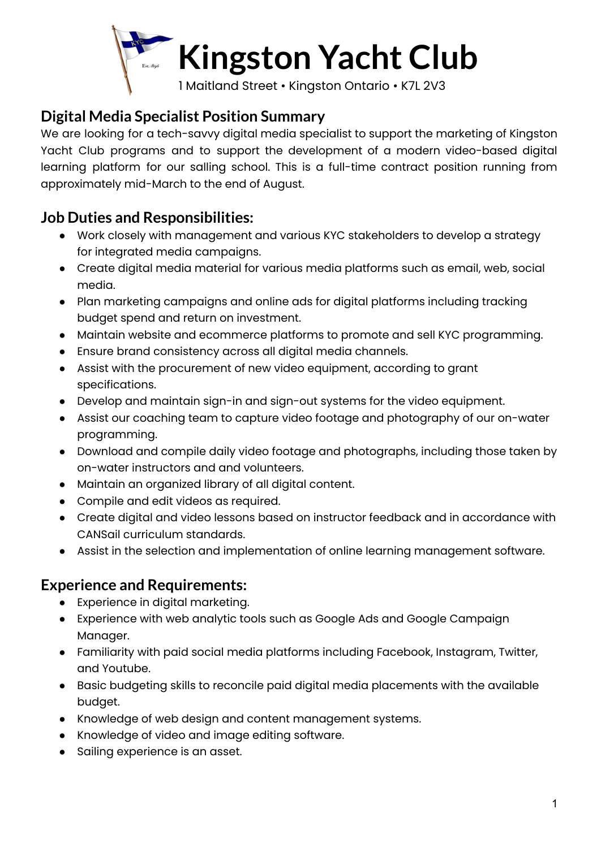

## **Digital Media Specialist Position Summary**

We are looking for a tech-savvy digital media specialist to support the marketing of Kingston Yacht Club programs and to support the development of a modern video-based digital learning platform for our salling school. This is a full-time contract position running from approximately mid-March to the end of August.

## **Job Duties and Responsibilities:**

- Work closely with management and various KYC stakeholders to develop a strategy for integrated media campaigns.
- Create digital media material for various media platforms such as email, web, social media.
- Plan marketing campaigns and online ads for digital platforms including tracking budget spend and return on investment.
- Maintain website and ecommerce platforms to promote and sell KYC programming.
- Ensure brand consistency across all digital media channels.
- Assist with the procurement of new video equipment, according to grant specifications.
- Develop and maintain sign-in and sign-out systems for the video equipment.
- Assist our coaching team to capture video footage and photography of our on-water programming.
- Download and compile daily video footage and photographs, including those taken by on-water instructors and and volunteers.
- Maintain an organized library of all digital content.
- Compile and edit videos as required.
- Create digital and video lessons based on instructor feedback and in accordance with CANSail curriculum standards.
- Assist in the selection and implementation of online learning management software.

## **Experience and Requirements:**

- Experience in digital marketing.
- Experience with web analytic tools such as Google Ads and Google Campaign Manager.
- Familiarity with paid social media platforms including Facebook, Instagram, Twitter, and Youtube.
- Basic budgeting skills to reconcile paid digital media placements with the available budget.
- Knowledge of web design and content management systems.
- Knowledge of video and image editing software.
- Sailing experience is an asset.